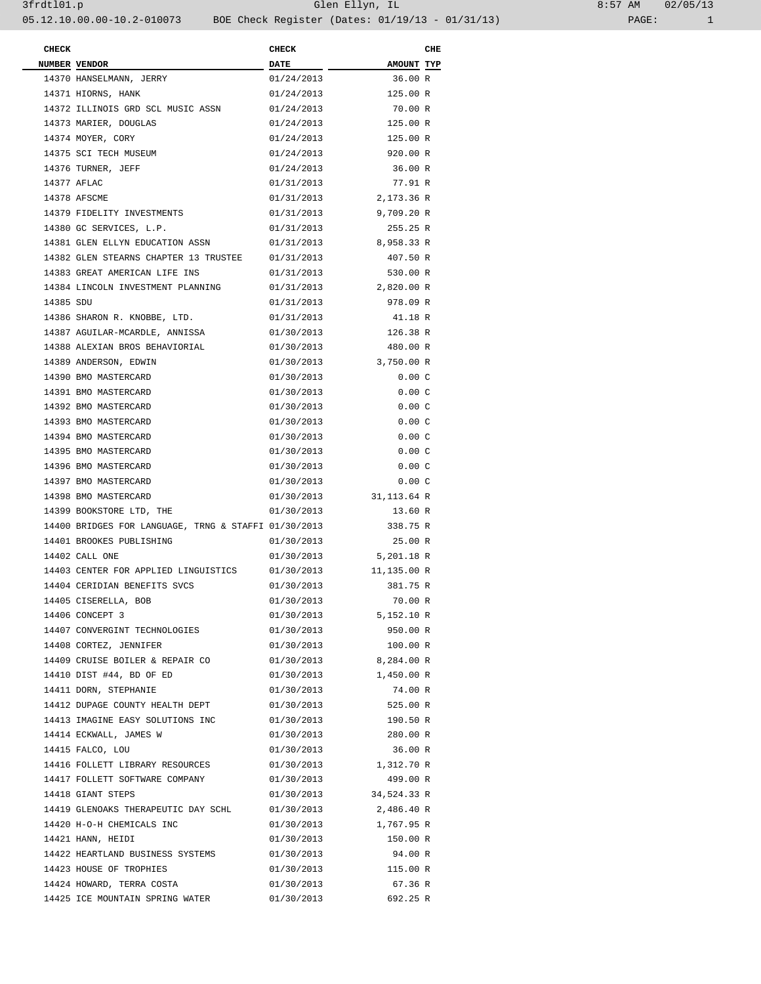| <b>CHECK</b> |                                                      | <b>CHECK</b> |                        | CHE |
|--------------|------------------------------------------------------|--------------|------------------------|-----|
|              | NUMBER VENDOR                                        | <b>DATE</b>  | AMOUNT TYP             |     |
|              | 14370 HANSELMANN, JERRY                              | 01/24/2013   | 36.00 R                |     |
|              | 14371 HIORNS, HANK                                   | 01/24/2013   | 125.00 R               |     |
|              | 14372 ILLINOIS GRD SCL MUSIC ASSN                    | 01/24/2013   | 70.00 R                |     |
|              | 14373 MARIER, DOUGLAS                                | 01/24/2013   | 125.00 R               |     |
|              | 14374 MOYER, CORY                                    | 01/24/2013   | 125.00 R               |     |
|              | 14375 SCI TECH MUSEUM                                | 01/24/2013   | 920.00 R               |     |
|              | 14376 TURNER, JEFF                                   | 01/24/2013   | 36.00 R                |     |
|              | 14377 AFLAC                                          | 01/31/2013   | 77.91 R                |     |
|              | 14378 AFSCME                                         | 01/31/2013   | 2,173.36 R             |     |
|              | 14379 FIDELITY INVESTMENTS                           | 01/31/2013   | 9,709.20 R             |     |
|              | 14380 GC SERVICES, L.P.                              | 01/31/2013   | 255.25 R               |     |
|              | 14381 GLEN ELLYN EDUCATION ASSN                      | 01/31/2013   | 8,958.33 R             |     |
|              | 14382 GLEN STEARNS CHAPTER 13 TRUSTEE                | 01/31/2013   | 407.50 R               |     |
|              | 14383 GREAT AMERICAN LIFE INS                        | 01/31/2013   | 530.00 R               |     |
|              | 14384 LINCOLN INVESTMENT PLANNING                    | 01/31/2013   | 2,820.00 R             |     |
| 14385 SDU    |                                                      | 01/31/2013   | 978.09 R               |     |
|              | 14386 SHARON R. KNOBBE, LTD.                         | 01/31/2013   | 41.18 R                |     |
|              | 14387 AGUILAR-MCARDLE, ANNISSA                       | 01/30/2013   | 126.38 R               |     |
|              | 14388 ALEXIAN BROS BEHAVIORIAL                       | 01/30/2013   | 480.00 R               |     |
|              |                                                      |              | 3,750.00 R             |     |
|              | 14389 ANDERSON, EDWIN                                | 01/30/2013   |                        |     |
|              | 14390 BMO MASTERCARD                                 | 01/30/2013   | 0.00C                  |     |
|              | 14391 BMO MASTERCARD                                 | 01/30/2013   | 0.00C                  |     |
|              | 14392 BMO MASTERCARD                                 | 01/30/2013   | 0.00C                  |     |
|              | 14393 BMO MASTERCARD                                 | 01/30/2013   | 0.00C                  |     |
|              | 14394 BMO MASTERCARD                                 | 01/30/2013   | 0.00C                  |     |
|              | 14395 BMO MASTERCARD                                 | 01/30/2013   | 0.00C                  |     |
|              | 14396 BMO MASTERCARD                                 | 01/30/2013   | 0.00C                  |     |
|              | 14397 BMO MASTERCARD                                 | 01/30/2013   | 0.00C                  |     |
|              | 14398 BMO MASTERCARD                                 | 01/30/2013   | 31,113.64 R            |     |
|              | 14399 BOOKSTORE LTD, THE                             | 01/30/2013   | 13.60 R                |     |
|              | 14400 BRIDGES FOR LANGUAGE, TRNG & STAFFI 01/30/2013 |              | 338.75 R               |     |
|              | 14401 BROOKES PUBLISHING                             | 01/30/2013   | 25.00 R                |     |
|              | 14402 CALL ONE                                       | 01/30/2013   | 5,201.18 R             |     |
|              | 14403 CENTER FOR APPLIED LINGUISTICS                 | 01/30/2013   | 11,135.00 R            |     |
|              | 14404 CERIDIAN BENEFITS SVCS                         | 01/30/2013   | 381.75 R               |     |
|              | 14405 CISERELLA, BOB                                 | 01/30/2013   | 70.00 R                |     |
|              | 14406 CONCEPT 3                                      | 01/30/2013   | 5,152.10 R             |     |
|              | 14407 CONVERGINT TECHNOLOGIES                        | 01/30/2013   | 950.00 R               |     |
|              | 14408 CORTEZ, JENNIFER                               | 01/30/2013   | 100.00 R               |     |
|              | 14409 CRUISE BOILER & REPAIR CO                      | 01/30/2013   | 8,284.00 R             |     |
|              | 14410 DIST #44, BD OF ED                             |              | 01/30/2013 1,450.00 R  |     |
|              | 14411 DORN, STEPHANIE                                | 01/30/2013   | 74.00 R                |     |
|              | 14412 DUPAGE COUNTY HEALTH DEPT                      | 01/30/2013   | 525.00 R               |     |
|              | 14413 IMAGINE EASY SOLUTIONS INC                     | 01/30/2013   | 190.50 R               |     |
|              | 14414 ECKWALL, JAMES W                               | 01/30/2013   | 280.00 R               |     |
|              | 14415 FALCO, LOU                                     | 01/30/2013   | 36.00 R                |     |
|              | 14416 FOLLETT LIBRARY RESOURCES                      |              | 01/30/2013 1,312.70 R  |     |
|              | 14417 FOLLETT SOFTWARE COMPANY                       | 01/30/2013   | 499.00 R               |     |
|              | 14418 GIANT STEPS                                    |              | 01/30/2013 34,524.33 R |     |
|              | 14419 GLENOAKS THERAPEUTIC DAY SCHL                  | 01/30/2013   | 2,486.40 R             |     |
|              | 14420 H-O-H CHEMICALS INC                            |              | 01/30/2013 1,767.95 R  |     |
|              | 14421 HANN, HEIDI                                    | 01/30/2013   | 150.00 R               |     |
|              | 14422 HEARTLAND BUSINESS SYSTEMS                     | 01/30/2013   | 94.00 R                |     |
|              | 14423 HOUSE OF TROPHIES                              | 01/30/2013   | 115.00 R               |     |
|              | 14424 HOWARD, TERRA COSTA                            | 01/30/2013   | 67.36 R                |     |
|              | 14425 ICE MOUNTAIN SPRING WATER                      | 01/30/2013   | 692.25 R               |     |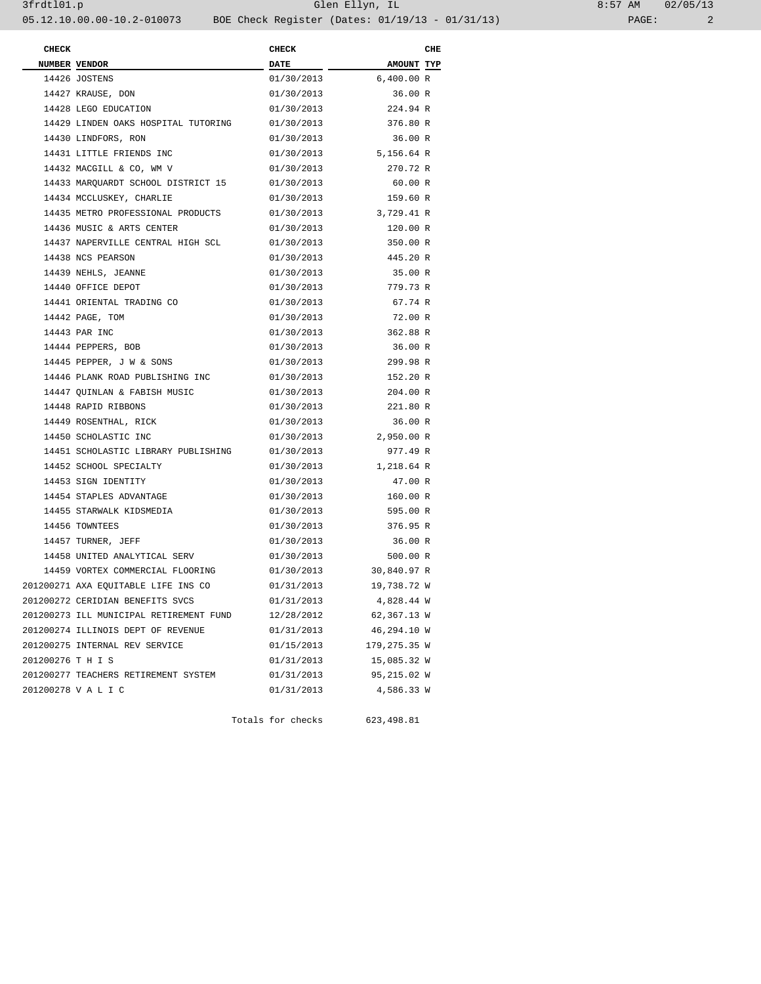| 8:57 AM |       | 02/05/13 |  |
|---------|-------|----------|--|
|         | PAGE: |          |  |

| <b>CHECK</b>      |                                         | <b>CHECK</b> |                        | CHE |
|-------------------|-----------------------------------------|--------------|------------------------|-----|
|                   | NUMBER VENDOR                           | <b>DATE</b>  | AMOUNT TYP             |     |
|                   | 14426 JOSTENS                           | 01/30/2013   | 6,400.00 R             |     |
|                   | 14427 KRAUSE, DON                       | 01/30/2013   | 36.00 R                |     |
|                   | 14428 LEGO EDUCATION                    | 01/30/2013   | 224.94 R               |     |
|                   | 14429 LINDEN OAKS HOSPITAL TUTORING     | 01/30/2013   | 376.80 R               |     |
|                   | 14430 LINDFORS, RON                     | 01/30/2013   | 36.00 R                |     |
|                   | 14431 LITTLE FRIENDS INC                |              | 01/30/2013 5,156.64 R  |     |
|                   | 14432 MACGILL & CO, WM V                | 01/30/2013   | 270.72 R               |     |
|                   | 14433 MARQUARDT SCHOOL DISTRICT 15      | 01/30/2013   | 60.00 R                |     |
|                   | 14434 MCCLUSKEY, CHARLIE                | 01/30/2013   | 159.60 R               |     |
|                   | 14435 METRO PROFESSIONAL PRODUCTS       |              | 01/30/2013 3,729.41 R  |     |
|                   | 14436 MUSIC & ARTS CENTER               | 01/30/2013   | 120.00 R               |     |
|                   | 14437 NAPERVILLE CENTRAL HIGH SCL       | 01/30/2013   | 350.00 R               |     |
|                   | 14438 NCS PEARSON                       | 01/30/2013   | 445.20 R               |     |
|                   | 14439 NEHLS, JEANNE                     | 01/30/2013   | 35.00 R                |     |
|                   | 14440 OFFICE DEPOT                      | 01/30/2013   | 779.73 R               |     |
|                   | 14441 ORIENTAL TRADING CO               | 01/30/2013   | 67.74 R                |     |
|                   | 14442 PAGE, TOM                         | 01/30/2013   | 72.00 R                |     |
|                   | 14443 PAR INC                           |              | 01/30/2013 362.88 R    |     |
|                   | 14444 PEPPERS, BOB                      | 01/30/2013   | 36.00 R                |     |
|                   | 14445 PEPPER, J W & SONS                | 01/30/2013   | 299.98 R               |     |
|                   | 14446 PLANK ROAD PUBLISHING INC         | 01/30/2013   | 152.20 R               |     |
|                   | 14447 QUINLAN & FABISH MUSIC            | 01/30/2013   | 204.00 R               |     |
|                   | 14448 RAPID RIBBONS                     | 01/30/2013   | 221.80 R               |     |
|                   | 14449 ROSENTHAL, RICK                   | 01/30/2013   | 36.00 R                |     |
|                   | 14450 SCHOLASTIC INC                    |              | 01/30/2013 2,950.00 R  |     |
|                   | 14451 SCHOLASTIC LIBRARY PUBLISHING     | 01/30/2013   | 977.49 R               |     |
|                   | 14452 SCHOOL SPECIALTY                  | 01/30/2013   | 1,218.64 R             |     |
|                   | 14453 SIGN IDENTITY                     | 01/30/2013   | 47.00 R                |     |
|                   | 14454 STAPLES ADVANTAGE                 | 01/30/2013   | 160.00 R               |     |
|                   | 14455 STARWALK KIDSMEDIA                | 01/30/2013   | 595.00 R               |     |
|                   | 14456 TOWNTEES                          | 01/30/2013   | 376.95 R               |     |
|                   | 14457 TURNER, JEFF                      | 01/30/2013   | 36.00 R                |     |
|                   | 14458 UNITED ANALYTICAL SERV            | 01/30/2013   | 500.00 R               |     |
|                   | 14459 VORTEX COMMERCIAL FLOORING        |              | 01/30/2013 30,840.97 R |     |
|                   | 201200271 AXA EQUITABLE LIFE INS CO     | 01/31/2013   | 19,738.72 W            |     |
|                   | 201200272 CERIDIAN BENEFITS SVCS        | 01/31/2013   | 4,828.44 W             |     |
|                   | 201200273 ILL MUNICIPAL RETIREMENT FUND | 12/28/2012   | 62,367.13 W            |     |
|                   | 201200274 ILLINOIS DEPT OF REVENUE      | 01/31/2013   | 46,294.10 W            |     |
|                   | 201200275 INTERNAL REV SERVICE          | 01/15/2013   | 179,275.35 W           |     |
| 201200276 T H I S |                                         | 01/31/2013   | 15,085.32 W            |     |
|                   | 201200277 TEACHERS RETIREMENT SYSTEM    | 01/31/2013   | 95,215.02 W            |     |
|                   | 201200278 V A L I C                     | 01/31/2013   | 4,586.33 W             |     |
|                   |                                         |              |                        |     |

Totals for checks 623,498.81